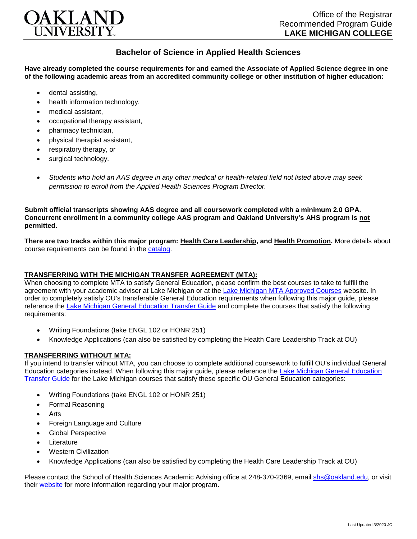

## **Bachelor of Science in Applied Health Sciences**

**Have already completed the course requirements for and earned the Associate of Applied Science degree in one of the following academic areas from an accredited community college or other institution of higher education:**

- dental assisting,
- health information technology.
- medical assistant,
- occupational therapy assistant,
- pharmacy technician,
- physical therapist assistant,
- respiratory therapy, or
- surgical technology.
- *Students who hold an AAS degree in any other medical or health-related field not listed above may seek permission to enroll from the Applied Health Sciences Program Director.*

**Submit official transcripts showing AAS degree and all coursework completed with a minimum 2.0 GPA. Concurrent enrollment in a community college AAS program and Oakland University's AHS program is not permitted.**

**There are two tracks within this major program: Health Care Leadership, and Health Promotion.** More details about course requirements can be found in the [catalog.](http://catalog.oakland.edu/preview_program.php?catoid=44&poid=6779)

## **TRANSFERRING WITH THE MICHIGAN TRANSFER AGREEMENT (MTA):**

When choosing to complete MTA to satisfy General Education, please confirm the best courses to take to fulfill the agreement with your academic adviser at Lake Michigan or at the [Lake Michigan MTA Approved Courses](https://www.lakemichigancollege.edu/academics/educational-goals/transfer/transfer-information) website. In order to completely satisfy OU's transferable General Education requirements when following this major guide, please reference the [Lake Michigan General Education Transfer Guide](https://www.oakland.edu/Assets/Oakland/program-guides/lake-michigan-college/university-general-education-requirements/Lake%20Michigan%20Gen%20Ed.pdf) and complete the courses that satisfy the following requirements:

- Writing Foundations (take ENGL 102 or HONR 251)
- Knowledge Applications (can also be satisfied by completing the Health Care Leadership Track at OU)

## **TRANSFERRING WITHOUT MTA:**

If you intend to transfer without MTA, you can choose to complete additional coursework to fulfill OU's individual General Education categories instead. When following this major guide, please reference the [Lake Michigan General Education](https://www.oakland.edu/Assets/Oakland/program-guides/lake-michigan-college/university-general-education-requirements/Lake%20Michigan%20Gen%20Ed.pdf)  [Transfer Guide](https://www.oakland.edu/Assets/Oakland/program-guides/lake-michigan-college/university-general-education-requirements/Lake%20Michigan%20Gen%20Ed.pdf) for the Lake Michigan courses that satisfy these specific OU General Education categories:

- Writing Foundations (take ENGL 102 or HONR 251)
- Formal Reasoning
- Arts
- Foreign Language and Culture
- Global Perspective
- **Literature**
- Western Civilization
- Knowledge Applications (can also be satisfied by completing the Health Care Leadership Track at OU)

Please contact the School of Health Sciences Academic Advising office at 248-370-2369, email [shs@oakland.edu,](mailto:shs@oakland.edu) or visit their [website](http://www.oakland.edu/shs/advising) for more information regarding your major program.